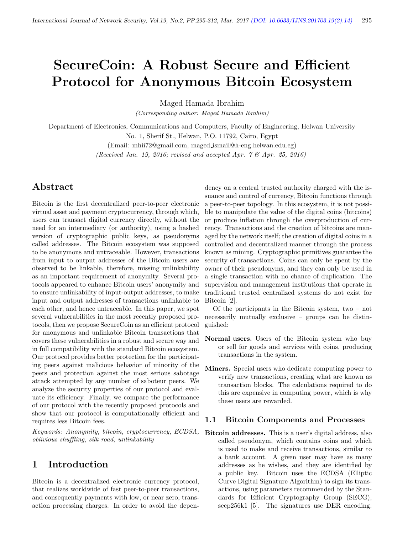# SecureCoin: A Robust Secure and Efficient Protocol for Anonymous Bitcoin Ecosystem

Maged Hamada Ibrahim

(Corresponding author: Maged Hamada Ibrahim)

Department of Electronics, Communications and Computers, Faculty of Engineering, Helwan University No. 1, Sherif St., Helwan, P.O. 11792, Cairo, Egypt

> (Email: mhii72@gmail.com, maged ismail@h-eng.helwan.edu.eg) (Received Jan. 19, 2016; revised and accepted Apr.  $7 \&$  Apr. 25, 2016)

# Abstract

Bitcoin is the first decentralized peer-to-peer electronic virtual asset and payment cryptocurrency, through which, users can transact digital currency directly, without the need for an intermediary (or authority), using a hashed version of cryptographic public keys, as pseudonyms called addresses. The Bitcoin ecosystem was supposed to be anonymous and untraceable. However, transactions from input to output addresses of the Bitcoin users are observed to be linkable, therefore, missing unlinkability as an important requirement of anonymity. Several protocols appeared to enhance Bitcoin users' anonymity and to ensure unlinkability of input-output addresses, to make input and output addresses of transactions unlinkable to each other, and hence untraceable. In this paper, we spot several vulnerabilities in the most recently proposed protocols, then we propose SecureCoin as an efficient protocol for anonymous and unlinkable Bitcoin transactions that covers these vulnerabilities in a robust and secure way and in full compatibility with the standard Bitcoin ecosystem. Our protocol provides better protection for the participating peers against malicious behavior of minority of the peers and protection against the most serious sabotage attack attempted by any number of saboteur peers. We analyze the security properties of our protocol and evaluate its efficiency. Finally, we compare the performance of our protocol with the recently proposed protocols and show that our protocol is computationally efficient and requires less Bitcoin fees.

Keywords: Anonymity, bitcoin, cryptocurrency, ECDSA, oblivious shuffling, silk road, unlinkability

# 1 Introduction

Bitcoin is a decentralized electronic currency protocol, that realizes worldwide of fast peer-to-peer transactions, and consequently payments with low, or near zero, transaction processing charges. In order to avoid the depen-

dency on a central trusted authority charged with the issuance and control of currency, Bitcoin functions through a peer-to-peer topology. In this ecosystem, it is not possible to manipulate the value of the digital coins (bitcoins) or produce inflation through the overproduction of currency. Transactions and the creation of bitcoins are managed by the network itself; the creation of digital coins in a controlled and decentralized manner through the process known as mining. Cryptographic primitives guarantee the security of transactions. Coins can only be spent by the owner of their pseudonyms, and they can only be used in a single transaction with no chance of duplication. The supervision and management institutions that operate in traditional trusted centralized systems do not exist for Bitcoin [2].

Of the participants in the Bitcoin system, two – not necessarily mutually exclusive – groups can be distinguished:

- Normal users. Users of the Bitcoin system who buy or sell for goods and services with coins, producing transactions in the system.
- Miners. Special users who dedicate computing power to verify new transactions, creating what are known as transaction blocks. The calculations required to do this are expensive in computing power, which is why these users are rewarded.

#### 1.1 Bitcoin Components and Processes

Bitcoin addresses. This is a user's digital address, also called pseudonym, which contains coins and which is used to make and receive transactions, similar to a bank account. A given user may have as many addresses as he wishes, and they are identified by a public key. Bitcoin uses the ECDSA (Elliptic Curve Digital Signature Algorithm) to sign its transactions, using parameters recommended by the Standards for Efficient Cryptography Group (SECG), secp256k1 [5]. The signatures use DER encoding.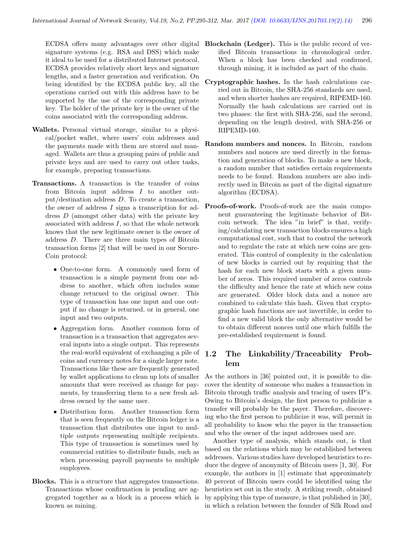ECDSA offers many advantages over other digital signature systems (e.g. RSA and DSS) which make it ideal to be used for a distributed Internet protocol. ECDSA provides relatively short keys and signature lengths, and a faster generation and verification. On being identified by the ECDSA public key, all the operations carried out with this address have to be supported by the use of the corresponding private key. The holder of the private key is the owner of the coins associated with the corresponding address.

- Wallets. Personal virtual storage, similar to a physical/pocket wallet, where users' coin addresses and the payments made with them are stored and managed. Wallets are thus a grouping pairs of public and private keys and are used to carry out other tasks, for example, preparing transactions.
- Transactions. A transaction is the transfer of coins from Bitcoin input address I to another output/destination address D. To create a transaction, the owner of address  $I$  signs a transcription for address D (amongst other data) with the private key associated with address I, so that the whole network knows that the new legitimate owner is the owner of address D. There are three main types of Bitcoin transaction forms [2] that will be used in our Secure-Coin protocol:
	- One-to-one form. A commonly used form of transaction is a simple payment from one address to another, which often includes some change returned to the original owner. This type of transaction has one input and one output if no change is returned, or in general, one input and two outputs.
	- Aggregation form. Another common form of transaction is a transaction that aggregates several inputs into a single output. This represents the real-world equivalent of exchanging a pile of coins and currency notes for a single larger note. Transactions like these are frequently generated by wallet applications to clean up lots of smaller amounts that were received as change for payments, by transferring them to a new fresh address owned by the same user.
	- Distribution form. Another transaction form that is seen frequently on the Bitcoin ledger is a transaction that distributes one input to multiple outputs representing multiple recipients. This type of transaction is sometimes used by commercial entities to distribute funds, such as when processing payroll payments to multiple employees.
- Blocks. This is a structure that aggregates transactions. Transactions whose confirmation is pending are aggregated together as a block in a process which is known as mining.
- Blockchain (Ledger). This is the public record of verified Bitcoin transactions in chronological order. When a block has been checked and confirmed, through mining, it is included as part of the chain.
- Cryptographic hashes. In the hash calculations carried out in Bitcoin, the SHA-256 standards are used, and when shorter hashes are required, RIPEMD-160. Normally the hash calculations are carried out in two phases: the first with SHA-256, and the second, depending on the length desired, with SHA-256 or RIPEMD-160.
- Random numbers and nonces. In Bitcoin, random numbers and nonces are used directly in the formation and generation of blocks. To make a new block, a random number that satisfies certain requirements needs to be found. Random numbers are also indirectly used in Bitcoin as part of the digital signature algorithm (ECDSA).
- Proofs-of-work. Proofs-of-work are the main component guaranteeing the legitimate behavior of Bitcoin network. The idea "in brief" is that, verifying/calculating new transaction blocks ensures a high computational cost, such that to control the network and to regulate the rate at which new coins are generated. This control of complexity in the calculation of new blocks is carried out by requiring that the hash for each new block starts with a given number of zeros. This required number of zeros controls the difficulty and hence the rate at which new coins are generated. Older block data and a nonce are combined to calculate this hash. Given that cryptographic hash functions are not invertible, in order to find a new valid block the only alternative would be to obtain different nonces until one which fulfills the pre-established requirement is found.

# 1.2 The Linkability/Traceability Problem

As the authors in [36] pointed out, it is possible to discover the identity of someone who makes a transaction in Bitcoin through traffic analysis and tracing of users IP's. Owing to Bitcoin's design, the first person to publicize a transfer will probably be the payer. Therefore, discovering who the first person to publicize it was, will permit in all probability to know who the payer in the transaction and who the owner of the input addresses used are.

Another type of analysis, which stands out, is that based on the relations which may be established between addresses. Various studies have developed heuristics to reduce the degree of anonymity of Bitcoin users [1, 30]. For example, the authors in [1] estimate that approximately 40 percent of Bitcoin users could be identified using the heuristics set out in the study. A striking result, obtained by applying this type of measure, is that published in [30], in which a relation between the founder of Silk Road and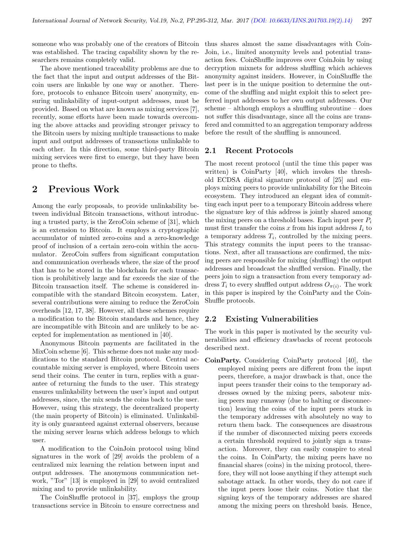someone who was probably one of the creators of Bitcoin was established. The tracing capability shown by the researchers remains completely valid.

The above mentioned traceability problems are due to the fact that the input and output addresses of the Bitcoin users are linkable by one way or another. Therefore, protocols to enhance Bitcoin users' anonymity, ensuring unlinkability of input-output addresses, must be provided. Based on what are known as mixing services [7], recently, some efforts have been made towards overcoming the above attacks and providing stronger privacy to the Bitcoin users by mixing multiple transactions to make input and output addresses of transactions unlinkable to each other. In this direction, some third-party Bitcoin mixing services were first to emerge, but they have been prone to thefts.

# 2 Previous Work

Among the early proposals, to provide unlinkability between individual Bitcoin transactions, without introducing a trusted party, is the ZeroCoin scheme of [31], which is an extension to Bitcoin. It employs a cryptographic accumulator of minted zero-coins and a zero-knowledge proof of inclusion of a certain zero-coin within the accumulator. ZeroCoin suffers from significant computation and communication overheads where, the size of the proof that has to be stored in the blockchain for each transaction is prohibitively large and far exceeds the size of the Bitcoin transaction itself. The scheme is considered incompatible with the standard Bitcoin ecosystem. Later, several contributions were aiming to reduce the ZeroCoin overheads [12, 17, 38]. However, all these schemes require a modification to the Bitcoin standards and hence, they are incompatible with Bitcoin and are unlikely to be accepted for implementation as mentioned in [40].

Anonymous Bitcoin payments are facilitated in the MixCoin scheme [6]. This scheme does not make any modifications to the standard Bitcoin protocol. Central accountable mixing server is employed, where Bitcoin users send their coins. The center in turn, replies with a guarantee of returning the funds to the user. This strategy ensures unlinkability between the user's input and output addresses, since, the mix sends the coins back to the user. However, using this strategy, the decentralized property (the main property of Bitcoin) is eliminated. Unlinkability is only guaranteed against external observers, because the mixing server learns which address belongs to which user.

A modification to the CoinJoin protocol using blind signatures in the work of [29] avoids the problem of a centralized mix learning the relation between input and output addresses. The anonymous communication network, "Tor" [13] is employed in [29] to avoid centralized mixing and to provide unlinkability.

The CoinShuffle protocol in [37], employs the group transactions service in Bitcoin to ensure correctness and

thus shares almost the same disadvantages with Coin-Join, i.e., limited anonymity levels and potential transaction fees. CoinShuffle improves over CoinJoin by using decryption mixnets for address shuffling which achieves anonymity against insiders. However, in CoinShuffle the last peer is in the unique position to determine the outcome of the shuffling and might exploit this to select preferred input addresses to her own output addresses. Our scheme – although employs a shuffling subroutine – does not suffer this disadvantage, since all the coins are transfered and committed to an aggregation temporary address before the result of the shuffling is announced.

### 2.1 Recent Protocols

The most recent protocol (until the time this paper was written) is CoinParty [40], which invokes the threshold ECDSA digital signature protocol of [25] and employs mixing peers to provide unlinkability for the Bitcoin ecosystem. They introduced an elegant idea of committing each input peer to a temporary Bitcoin address where the signature key of this address is jointly shared among the mixing peers on a threshold bases. Each input peer  $P_i$ must first transfer the coins  $x$  from his input address  $I_i$  to a temporary address  $T_i$ , controlled by the mixing peers. This strategy commits the input peers to the transactions. Next, after all transactions are confirmed, the mixing peers are responsible for mixing (shuffling) the output addresses and broadcast the shuffled version. Finally, the peers join to sign a transaction from every temporary address  $T_i$  to every shuffled output address  $O_{\pi(i)}$ . The work in this paper is inspired by the CoinParty and the Coin-Shuffle protocols.

# 2.2 Existing Vulnerabilities

The work in this paper is motivated by the security vulnerabilities and efficiency drawbacks of recent protocols described next.

CoinParty. Considering CoinParty protocol [40], the employed mixing peers are different from the input peers, therefore, a major drawback is that, once the input peers transfer their coins to the temporary addresses owned by the mixing peers, saboteur mixing peers may runaway (due to halting or disconnection) leaving the coins of the input peers stuck in the temporary addresses with absolutely no way to return them back. The consequences are disastrous if the number of disconnected mixing peers exceeds a certain threshold required to jointly sign a transaction. Moreover, they can easily conspire to steal the coins. In CoinParty, the mixing peers have no financial shares (coins) in the mixing protocol, therefore, they will not loose anything if they attempt such sabotage attack. In other words, they do not care if the input peers loose their coins. Notice that the signing keys of the temporary addresses are shared among the mixing peers on threshold basis. Hence,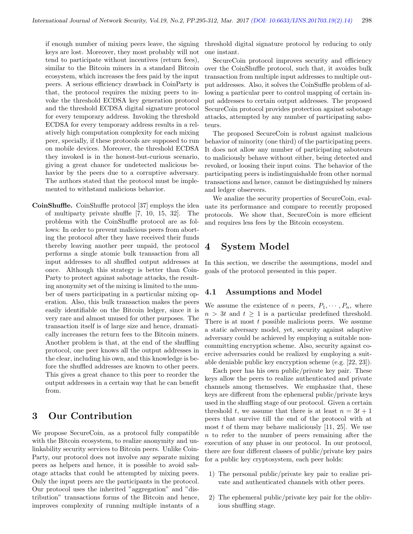if enough number of mixing peers leave, the signing keys are lost. Moreover, they most probably will not tend to participate without incentives (return fees), similar to the Bitcoin miners in a standard Bitcoin ecosystem, which increases the fees paid by the input peers. A serious efficiency drawback in CoinParty is that, the protocol requires the mixing peers to invoke the threshold ECDSA key generation protocol and the threshold ECDSA digital signature protocol for every temporary address. Invoking the threshold ECDSA for every temporary address results in a relatively high computation complexity for each mixing peer, specially, if these protocols are supposed to run on mobile devices. Moreover, the threshold ECDSA they invoked is in the honest-but-curious scenario, giving a great chance for undetected malicious behavior by the peers due to a corruptive adversary. The authors stated that the protocol must be implemented to withstand malicious behavior.

CoinShuffle. CoinShuffle protocol [37] employs the idea of multiparty private shuffle [7, 10, 15, 32]. The problems with the CoinShuffle protocol are as follows: In order to prevent malicious peers from aborting the protocol after they have received their funds thereby leaving another peer unpaid, the protocol performs a single atomic bulk transaction from all input addresses to all shuffled output addresses at once. Although this strategy is better than Coin-Party to protect against sabotage attacks, the resulting anonymity set of the mixing is limited to the number of users participating in a particular mixing operation. Also, this bulk transaction makes the peers easily identifiable on the Bitcoin ledger, since it is very rare and almost unused for other purposes. The transaction itself is of large size and hence, dramatically increases the return fees to the Bitcoin miners. Another problem is that, at the end of the shuffling protocol, one peer knows all the output addresses in the clear, including his own, and this knowledge is before the shuffled addresses are known to other peers. This gives a great chance to this peer to reorder the output addresses in a certain way that he can benefit from.

# 3 Our Contribution

We propose SecureCoin, as a protocol fully compatible with the Bitcoin ecosystem, to realize anonymity and unlinkability security services to Bitcoin peers. Unlike Coin-Party, our protocol does not involve any separate mixing peers as helpers and hence, it is possible to avoid sabotage attacks that could be attempted by mixing peers. Only the input peers are the participants in the protocol. Our protocol uses the inherited "aggregation" and "distribution" transactions forms of the Bitcoin and hence, improves complexity of running multiple instants of a

threshold digital signature protocol by reducing to only one instant.

SecureCoin protocol improves security and efficiency over the CoinShuffle protocol, such that, it avoides bulk transaction from multiple input addresses to multiple output addresses. Also, it solves the CoinSuffle problem of allowing a particular peer to control mapping of certain input addresses to certain output addresses. The proposed SecureCoin protocol provides protection against sabotage attacks, attempted by any number of participating saboteurs.

The proposed SecureCoin is robust against malicious behavior of minority (one third) of the participating peers. It does not allow any number of participating saboteurs to maliciously behave without either, being detected and revoked, or loosing their input coins. The behavior of the participating peers is indistinguishable from other normal transactions and hence, cannot be distinguished by miners and ledger observers.

We analize the security properties of SecureCoin, evaluate its performance and compare to recently proposed protocols. We show that, SecureCoin is more efficient and requires less fees by the Bitcoin ecosystem.

# 4 System Model

In this section, we describe the assumptions, model and goals of the protocol presented in this paper.

### 4.1 Assumptions and Model

We assume the existence of n peers,  $P_1, \dots, P_n$ , where  $n > 3t$  and  $t \geq 1$  is a particular predefined threshold. There is at most  $t$  possible malicious peers. We assume a static adversary model, yet, security against adaptive adversary could be achieved by employing a suitable noncommitting encryption scheme. Also, security against coercive adversaries could be realized by employing a suitable deniable public key encryption scheme (e.g. [22, 23]).

Each peer has his own public/private key pair. These keys allow the peers to realize authenticated and private channels among themselves. We emphasize that, these keys are different from the ephemeral public/private keys used in the shuffling stage of our protocol. Given a certain threshold t, we assume that there is at least  $n = 3t + 1$ peers that survive till the end of the protocol with at most t of them may behave maliciously  $[11, 25]$ . We use n to refer to the number of peers remaining after the execution of any phase in our protocol. In our protocol, there are four different classes of public/private key pairs for a public key cryptosystem, each peer holds:

- 1) The personal public/private key pair to realize private and authenticated channels with other peers.
- 2) The ephemeral public/private key pair for the oblivious shuffling stage.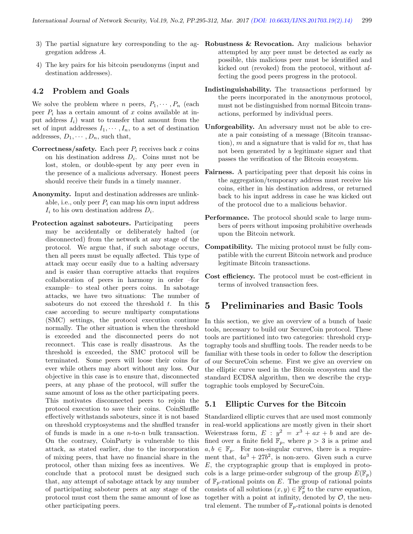- gregation address A.
- 4) The key pairs for his bitcoin pseudonyms (input and destination addresses).

## 4.2 Problem and Goals

We solve the problem where *n* peers,  $P_1, \dots, P_n$  (each peer  $P_i$  has a certain amount of x coins available at input address  $I_i$ ) want to transfer that amount from the set of input addresses  $I_1, \dots, I_n$ , to a set of destination addresses,  $D_1, \cdots, D_n$ , such that,

- **Correctness/safety.** Each peer  $P_i$  receives back x coins on his destination address  $D_i$ . Coins must not be lost, stolen, or double-spent by any peer even in the presence of a malicious adversary. Honest peers should receive their funds in a timely manner.
- Anonymity. Input and destination addresses are unlinkable, i.e., only peer  $P_i$  can map his own input address  $I_i$  to his own destination address  $D_i$ .
- Protection against saboteurs. Participating peers may be accidentally or deliberately halted (or disconnected) from the network at any stage of the protocol. We argue that, if such sabotage occurs, then all peers must be equally affected. This type of attack may occur easily due to a halting adversary and is easier than corruptive attacks that requires collaboration of peers in harmony in order –for example– to steal other peers coins. In sabotage attacks, we have two situations: The number of saboteurs do not exceed the threshold  $t$ . In this case according to secure multiparty computations (SMC) settings, the protocol execution continue normally. The other situation is when the threshold is exceeded and the disconnected peers do not reconnect. This case is really disastrous. As the threshold is exceeded, the SMC protocol will be terminated. Some peers will loose their coins for ever while others may abort without any loss. Our objective in this case is to ensure that, disconnected peers, at any phase of the protocol, will suffer the same amount of loss as the other participating peers. This motivates disconnected peers to rejoin the protocol execution to save their coins. CoinShuffle effectively withstands saboteurs, since it is not based on threshold cryptosystems and the shuffled transfer of funds is made in a one  $n$ -to- $n$  bulk transaction. On the contrary, CoinParty is vulnerable to this attack, as stated earlier, due to the incorporation of mixing peers, that have no financial share in the protocol, other than mixing fees as incentives. We conclude that a protocol must be designed such that, any attempt of sabotage attack by any number of participating saboteur peers at any stage of the protocol must cost them the same amount of lose as other participating peers.
- 3) The partial signature key corresponding to the ag- Robustness & Revocation. Any malicious behavior attempted by any peer must be detected as early as possible, this malicious peer must be identified and kicked out (revoked) from the protocol, without affecting the good peers progress in the protocol.
	- Indistinguishability. The transactions performed by the peers incorporated in the anonymous protocol, must not be distinguished from normal Bitcoin transactions, performed by individual peers.
	- Unforgeability. An adversary must not be able to create a pair consisting of a message (Bitcoin transaction), m and a signature that is valid for m, that has not been generated by a legitimate signer and that passes the verification of the Bitcoin ecosystem.
	- Fairness. A participating peer that deposit his coins in the aggregation/temporary address must receive his coins, either in his destination address, or returned back to his input address in case he was kicked out of the protocol due to a malicious behavior.
	- Performance. The protocol should scale to large numbers of peers without imposing prohibitive overheads upon the Bitcoin network.
	- Compatibility. The mixing protocol must be fully compatible with the current Bitcoin network and produce legitimate Bitcoin transactions.
	- Cost efficiency. The protocol must be cost-efficient in terms of involved transaction fees.

# 5 Preliminaries and Basic Tools

In this section, we give an overview of a bunch of basic tools, necessary to build our SecureCoin protocol. These tools are partitioned into two categories: threshold cryptography tools and shuffling tools. The reader needs to be familiar with these tools in order to follow the description of our SecureCoin scheme. First we give an overview on the elliptic curve used in the Bitcoin ecosystem and the standard ECDSA algorithm, then we describe the cryptographic tools employed by SecureCoin.

# 5.1 Elliptic Curves for the Bitcoin

Standardized elliptic curves that are used most commonly in real-world applications are mostly given in their short Weierstrass form,  $E : y^2 = x^3 + ax + b$  and are defined over a finite field  $\mathbb{F}_p$ , where  $p > 3$  is a prime and  $a, b \in \mathbb{F}_n$ . For non-singular curves, there is a requirement that,  $4a^3 + 27b^2$ , is non-zero. Given such a curve  $E$ , the cryptographic group that is employed in protocols is a large prime-order subgroup of the group  $E(\mathbb{F}_n)$ of  $\mathbb{F}_p$ -rational points on E. The group of rational points consists of all solutions  $(x, y) \in \mathbb{F}_p^2$  to the curve equation, together with a point at infinity, denoted by  $\mathcal{O}$ , the neutral element. The number of  $\mathbb{F}_p$ -rational points is denoted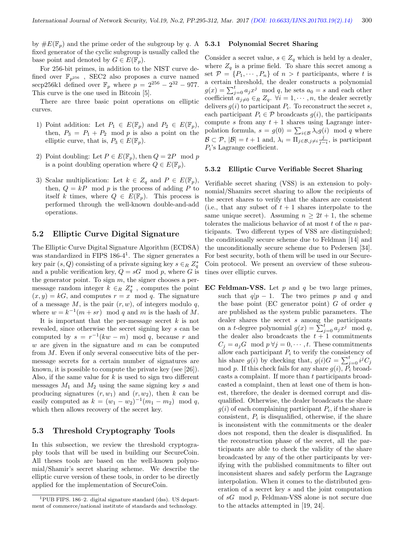by  $\#E(\mathbb{F}_p)$  and the prime order of the subgroup by q. A fixed generator of the cyclic subgroup is usually called the base point and denoted by  $G \in E(\mathbb{F}_n)$ .

For 256-bit primes, in addition to the NIST curve defined over  $\mathbb{F}_{p^{256}}$ , SEC2 also proposes a curve named secp256k1 defined over  $\mathbb{F}_p$  where  $p = 2^{256} - 2^{32} - 977$ . This curve is the one used in Bitcoin [5].

There are three basic point operations on elliptic curves.

- 1) Point addition: Let  $P_1 \in E(\mathbb{F}_p)$  and  $P_2 \in E(\mathbb{F}_p)$ , then,  $P_3 = P_1 + P_2 \mod p$  is also a point on the elliptic curve, that is,  $P_3 \in E(\mathbb{F}_p)$ .
- 2) Point doubling: Let  $P \in E(\mathbb{F}_p)$ , then  $Q = 2P \mod p$ is a point doubling operation where  $Q \in E(\mathbb{F}_p)$ .
- 3) Scalar multiplication: Let  $k \in Z_q$  and  $P \in E(\mathbb{F}_p)$ , then,  $Q = kP$  mod p is the process of adding P to itself k times, where  $Q \in E(\mathbb{F}_p)$ . This process is performed through the well-known double-and-add operations.

## 5.2 Elliptic Curve Digital Signature

The Elliptic Curve Digital Signature Algorithm (ECDSA) was standardized in FIPS 186-4<sup>1</sup>. The signer generates a key pair  $(s, Q)$  consisting of a private signing key  $s \in_R Z_q^*$ and a public verification key,  $Q = sG \mod p$ , where G is the generator point. To sign  $m$ , the signer chooses a permessage random integer  $k \in R \mathbb{Z}_q^*$ , computes the point  $(x, y) = kG$ , and computes  $r = x \mod q$ . The signature of a message  $M$ , is the pair  $(r, w)$ , of integers modulo  $q$ , where  $w = k^{-1}(m + sr) \mod q$  and m is the hash of M.

It is important that the per-message secret  $k$  is not revealed, since otherwise the secret signing key s can be computed by  $s = r^{-1}(kw - m) \mod q$ , because r and w are given in the signature and  $m$  can be computed from  $M$ . Even if only several consecutive bits of the permessage secrets for a certain number of signatures are known, it is possible to compute the private key (see [26]). Also, if the same value for  $k$  is used to sign two different messages  $M_1$  and  $M_2$  using the same signing key s and producing signatures  $(r, w_1)$  and  $(r, w_2)$ , then k can be easily computed as  $k = (w_1 - w_2)^{-1}(m_1 - m_2) \mod q$ , which then allows recovery of the secret key.

## 5.3 Threshold Cryptography Tools

In this subsection, we review the threshold cryptography tools that will be used in building our SecureCoin. All theses tools are based on the well-known polynomial/Shamir's secret sharing scheme. We describe the elliptic curve version of these tools, in order to be directly applied for the implementation of SecureCoin.

#### 5.3.1 Polynomial Secret Sharing

Consider a secret value,  $s \in Z_q$  which is held by a dealer, where  $Z_q$  is a prime field. To share this secret among a set  $P = \{P_1, \dots, P_n\}$  of  $n > t$  participants, where t is a certain threshold, the dealer constructs a polynomial  $g(x) = \sum_{j=0}^{t} a_j x^j \mod q$ , he sets  $a_0 = s$  and each other coefficient  $a_{j\neq0} \in_R Z_q$ .  $\forall i = 1, \cdots, n$ , the dealer secretly delivers  $g(i)$  to participant  $P_i$ . To reconstruct the secret s, each participant  $P_i \in \mathcal{P}$  broadcasts  $g(i)$ , the participants compute s from any  $t + 1$  shares using Lagrange interpolation formula,  $s = g(0) = \sum_{i \in \mathcal{B}} \lambda_i g(i) \mod q$  where  $\mathcal{B} \subset \mathcal{P}, |\mathcal{B}| = t + 1$  and,  $\lambda_i = \prod_{j \in \mathcal{B}, j \neq i} \frac{j}{j-i}$ , is participant  $P_i$ 's Lagrange coefficient.

#### 5.3.2 Elliptic Curve Verifiable Secret Sharing

Verifiable secret sharing (VSS) is an extension to polynomial/Shamirs secret sharing to allow the recipients of the secret shares to verify that the shares are consistent (i.e., that any subset of  $t + 1$  shares interpolate to the same unique secret). Assuming  $n \geq 2t + 1$ , the scheme tolerates the malicious behavior of at most  $t$  of the  $n$  participants. Two different types of VSS are distinguished; the conditionally secure scheme due to Feldman [14] and the unconditionally secure scheme due to Pedersen [34]. For best security, both of them will be used in our Secure-Coin protocol. We present an overview of these subroutines over elliptic curves.

EC Feldman-VSS. Let  $p$  and  $q$  be two large primes, such that  $q|p-1$ . The two primes p and q and the base point (EC generator point)  $G$  of order  $q$ are published as the system public parameters. The dealer shares the secret s among the participants on a t-degree polynomial  $g(x) = \sum_{j=0}^{\infty} a_j x^j \mod q$ , the dealer also broadcasts the  $t + 1$  commitments  $C_j = a_j G \mod p \ \forall j = 0, \cdots, t$ . These commitments allow each participant  $P_i$  to verify the consistency of his share  $g(i)$  by checking that,  $g(i)G = \sum_{j=0}^{t} i^{j}C_{j}$ mod p. If this check fails for any share  $g(i)$ ,  $\tilde{P}_i$  broadcasts a complaint. If more than t participants broadcasted a complaint, then at least one of them is honest, therefore, the dealer is deemed corrupt and disqualified. Otherwise, the dealer broadcasts the share  $g(i)$  of each complaining participant  $P_i$ , if the share is consistent,  $P_i$  is disqualified, otherwise, if the share is inconsistent with the commitments or the dealer does not respond, then the dealer is disqualified. In the reconstruction phase of the secret, all the participants are able to check the validity of the share broadcasted by any of the other participants by verifying with the published commitments to filter out inconsistent shares and safely perform the Lagrange interpolation. When it comes to the distributed generation of a secret key s and the joint computation of sG mod p, Feldman-VSS alone is not secure due to the attacks attempted in [19, 24].

<sup>1</sup>PUB FIPS. 186–2. digital signature standard (dss). US department of commerce/national institute of standards and technology.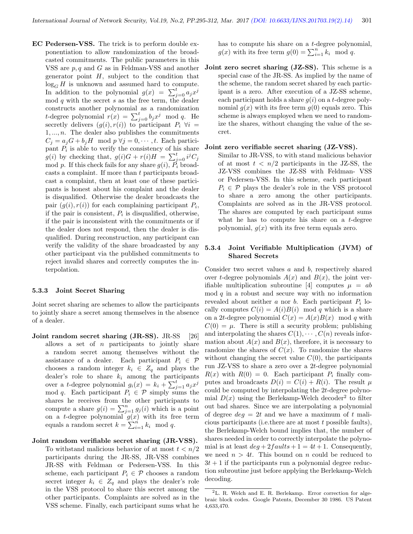EC Pedersen-VSS. The trick is to perform double exponentiation to allow randomization of the broadcasted commitments. The public parameters in this VSS are p, q and G as in Feldman-VSS and another generator point  $H$ , subject to the condition that  $log_G H$  is unknown and assumed hard to compute. In addition to the polynomial  $g(x) = \sum_{j=0}^{t} a_j x^j$ mod  $q$  with the secret  $s$  as the free term, the dealer constructs another polynomial as a randomization t-degree polynomial  $r(x) = \sum_{j=0}^{t} b_j x^j \mod q$ . He secretly delivers  $(g(i), r(i))$  to participant  $P_i \ \forall i =$  $1, \ldots, n$ . The dealer also publishes the commitments  $C_j = a_j G + b_j H \mod p \ \forall j = 0, \cdots, t.$  Each participant  $P_i$  is able to verify the consistency of his share  $g(i)$  by checking that,  $g(i)G + r(i)H = \sum_{j=0}^{t} i^{j}C_{j}$ mod p. If this check fails for any share  $g(i)$ ,  $\tilde{P_i}$  broadcasts a complaint. If more than t participants broadcast a complaint, then at least one of these participants is honest about his complaint and the dealer is disqualified. Otherwise the dealer broadcasts the pair  $(g(i), r(i))$  for each complaining participant  $P_i$ , if the pair is consistent,  $P_i$  is disqualified, otherwise, if the pair is inconsistent with the commitments or if the dealer does not respond, then the dealer is disqualified. During reconstruction, any participant can verify the validity of the share broadcasted by any other participant via the published commitments to reject invalid shares and correctly computes the interpolation.

#### 5.3.3 Joint Secret Sharing

Joint secret sharing are schemes to allow the participants to jointly share a secret among themselves in the absence of a dealer.

Joint random secret sharing (JR-SS). JR-SS [26] allows a set of  $n$  participants to jointly share a random secret among themselves without the assistance of a dealer. Each participant  $P_i \in \mathcal{P}$ chooses a random integer  $k_i \in Z_q$  and plays the dealer's role to share  $k_i$  among the participants over a t-degree polynomial  $g_i(x) = k_i + \sum_{j=1}^t a_j x^j$ mod q. Each participant  $P_i \in \mathcal{P}$  simply sums the shares he receives from the other participants to compute a share  $g(i) = \sum_{j=1}^{n} g_j(i)$  which is a point on a t-degree polynomial  $g(x)$  with its free term equals a random secret  $k = \sum_{i=1}^{n} k_i \mod q$ .

#### Joint random verifiable secret sharing (JR-VSS).

To withstand malicious behavior of at most  $t < n/2$ participants during the JR-SS, JR-VSS combines JR-SS with Feldman or Pedersen-VSS. In this scheme, each participant  $P_i \in \mathcal{P}$  chooses a random secret integer  $k_i \in Z_q$  and plays the dealer's role in the VSS protocol to share this secret among the other participants. Complaints are solved as in the VSS scheme. Finally, each participant sums what he has to compute his share on a t-degree polynomial,  $g(x)$  with its free term  $g(0) = \sum_{i=1}^{n} k_i \mod q$ .

Joint zero secret sharing (JZ-SS). This scheme is a special case of the JR-SS. As implied by the name of the scheme, the random secret shared by each participant is a zero. After execution of a JZ-SS scheme, each participant holds a share  $q(i)$  on a t-degree polynomial  $g(x)$  with its free term  $g(0)$  equals zero. This scheme is always employed when we need to randomize the shares, without changing the value of the secret.

#### Joint zero verifiable secret sharing (JZ-VSS).

Similar to JR-VSS, to with stand malicious behavior of at most  $t < n/2$  participants in the JZ-SS, the JZ-VSS combines the JZ-SS with Feldman- VSS or Pedersen-VSS. In this scheme, each participant  $P_i \in \mathcal{P}$  plays the dealer's role in the VSS protocol to share a zero among the other participants. Complaints are solved as in the JR-VSS protocol. The shares are computed by each participant sums what he has to compute his share on a t-degree polynomial,  $q(x)$  with its free term equals zero.

## 5.3.4 Joint Verifiable Multiplication (JVM) of Shared Secrets

Consider two secret values  $a$  and  $b$ , respectively shared over t-degree polynomials  $A(x)$  and  $B(x)$ , the joint verifiable multiplication subroutine [4] computes  $\mu = ab$  $\mod q$  in a robust and secure way with no information revealed about neither  $a$  nor  $b$ . Each participant  $P_i$  locally computes  $C(i) = A(i)B(i) \mod q$  which is a share on a 2t-degree polynomial  $C(x) = A(x)B(x) \mod q$  with  $C(0) = \mu$ . There is still a security problem; publishing and interpolating the shares  $C(1), \cdots, C(n)$  reveals information about  $A(x)$  and  $B(x)$ , therefore, it is necessary to randomize the shares of  $C(x)$ . To randomize the shares without changing the secret value  $C(0)$ , the participants run JZ-VSS to share a zero over a 2t-degree polynomial  $R(x)$  with  $R(0) = 0$ . Each participant  $P_i$  finally computes and broadcasts  $D(i) = C(i) + R(i)$ . The result  $\mu$ could be computed by interpolating the 2t-degree polynomial  $D(x)$  using the Berlekamp-Welch decoder<sup>2</sup> to filter out bad shares. Since we are interpolating a polynomial of degree  $deg = 2t$  and we have a maximum of t malicious participants (i.e. there are at most  $t$  possible faults), the Berlekamp-Welch bound implies that, the number of shares needed in order to correctly interpolate the polynomial is at least  $deg + 2 faults + 1 = 4t + 1$ . Consequently, we need  $n > 4t$ . This bound on n could be reduced to  $3t + 1$  if the participants run a polynomial degree reduction subroutine just before applying the Berlekamp-Welch decoding.

<sup>2</sup>L. R. Welch and E. R. Berlekamp. Error correction for algebraic block codes. Google Patents, December 30 1986. US Patent 4,633,470.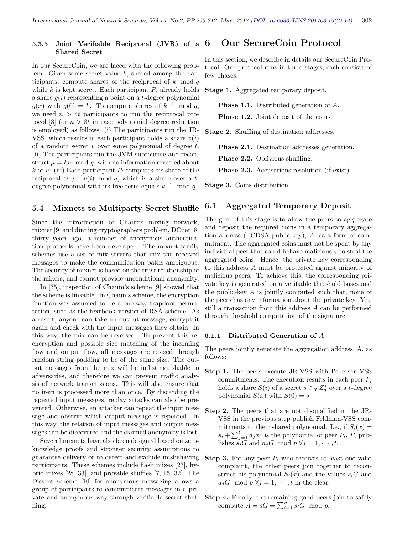#### 5.3.5 Joint Verifiable Reciprocal (JVR) of a  $6$ Shared Secret 6 Our SecureCoin Protocol

In our SecureCoin, we are faced with the following problem. Given some secret value k, shared among the participants, compute shares of the reciprocal of  $k \mod q$ while k is kept secret. Each participant  $P_i$  already holds a share  $g(i)$  representing a point on a t-degree polynomial  $g(x)$  with  $g(0) = k$ . To compute shares of  $k^{-1}$  mod q, we need  $n > 4t$  participants to run the reciprocal protocol [3] (or  $n > 3t$  in case polynomial degree reduction is employed) as follows: (i) The participants run the JR-VSS, which results in each participant holds a share  $v(i)$ of a random secret  $v$  over some polynomial of degree  $t$ . (ii) The participants run the JVM subroutine and reconstruct  $\mu = kv \mod q$ , with no information revealed about k or v. (iii) Each participant  $P_i$  computes his share of the reciprocal as  $\mu^{-1}v(i)$  mod q, which is a share over a tdegree polynomial with its free term equals  $k^{-1}$  mod q.

### 5.4 Mixnets to Multiparty Secret Shuffle

Since the introduction of Chaums mixing network, mixnet [9] and dinning cryptographers problem, DCnet [8] thirty years ago, a number of anonymous authentication protocols have been developed. The mixnet family schemes use a set of mix servers that mix the received messages to make the communication paths ambiguous. The security of mixnet is based on the trust relationship of the mixers, and cannot provide unconditional anonymity.

In [35], inspection of Chaum's scheme [9] showed that the scheme is linkable. In Chaums scheme, the encryption function was assumed to be a one-way trapdoor permutation, such as the textbook version of RSA scheme. As a result, anyone can take an output message, encrypt it again and check with the input messages they obtain. In this way, the mix can be reversed. To prevent this reencryption and possible size matching of the incoming flow and output flow, all messages are resized through random string padding to be of the same size. The output messages from the mix will be indistinguishable to adversaries, and therefore we can prevent traffic analysis of network transmissions. This will also ensure that no item is processed more than once. By discarding the repeated input messages, replay attacks can also be prevented. Otherwise, an attacker can repeat the input message and observe which output message is repeated. In this way, the relation of input messages and output messages can be discovered and the claimed anonymity is lost.

Several mixnets have also been designed based on zeroknowledge proofs and stronger security assumptions to guarantee delivery or to detect and exclude misbehaving participants. These schemes include flash mixes [27], hybrid mixes [28, 33], and provable shuffles [7, 15, 32]. The Dissent scheme [10] for anonymous messaging allows a group of participants to communicate messages in a private and anonymous way through verifiable secret shuffling.

In this section, we describe in details our SecureCoin Protocol. Our protocol runs in three stages, each consists of few phases:

Stage 1. Aggregated temporary deposit.

Phase 1.1. Distributed generation of A. **Phase 1.2.** Joint deposit of the coins.

Stage 2. Shuffling of destination addresses.

Phase 2.1. Destination addresses generation.

Phase 2.2. Oblivious shuffling.

Phase 2.3. Accusations resolution (if exist).

Stage 3. Coins distribution.

## 6.1 Aggregated Temporary Deposit

The goal of this stage is to allow the peers to aggregate and deposit the required coins in a temporary aggregation address (ECDSA public-key), A, as a form of commitment. The aggregated coins must not be spent by any individual peer that could behave maliciously to steal the aggregated coins. Hence, the private key corresponding to this address A must be protected against minority of malicious peers. To achieve this, the corresponding private key is generated on a verifiable threshold bases and the public-key A is jointly computed such that, none of the peers has any information about the private key. Yet, still a transaction from this address A can be performed through threshold computation of the signature.

#### 6.1.1 Distributed Generation of A

The peers jointly generate the aggregation address, A, as follows:

- Step 1. The peers execute JR-VSS with Pedersen-VSS commitments. The execution results in each peer  $P_i$ holds a share  $S(i)$  of a secret  $s \in_R Z_q^*$  over a t-degree polynomial  $S(x)$  with  $S(0) = s$ .
- Step 2. The peers that are not disqualified in the JR-VSS in the previous step publish Feldman-VSS commitments to their shared polynomial. I.e., if  $S_i(x) =$  $s_i + \sum_{j=1}^t a_j x^j$  is the polynomial of peer  $P_i$ ,  $P_i$  publishes  $s_iG$  and  $a_jG \mod p \forall j = 1, \cdots, t$ .
- **Step 3.** For any peer  $P_i$  who receives at least one valid complaint, the other peers join together to reconstruct his polynomial  $S_i(x)$  and the values  $s_iG$  and  $a_jG \mod p \; \forall j=1,\cdots,t$  in the clear.
- Step 4. Finally, the remaining good peers join to safely compute  $A = sG = \sum_{i=1}^{n} s_i G \mod p$ .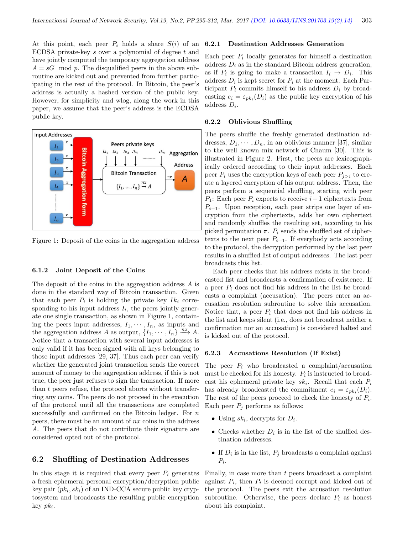At this point, each peer  $P_i$  holds a share  $S(i)$  of an ECDSA private-key s over a polynomial of degree t and have jointly computed the temporary aggregation address  $A = sG \mod p$ . The disqualified peers in the above subroutine are kicked out and prevented from further participating in the rest of the protocol. In Bitcoin, the peer's address is actually a hashed version of the public key. However, for simplicity and wlog, along the work in this paper, we assume that the peer's address is the ECDSA public key.



Figure 1: Deposit of the coins in the aggregation address

#### 6.1.2 Joint Deposit of the Coins

The deposit of the coins in the aggregation address A is done in the standard way of Bitcoin transaction. Given that each peer  $P_i$  is holding the private key  $Ik_i$  corresponding to his input address  $I_i$ , the peers jointly generate one single transaction, as shown in Figure 1, containing the peers input addresses,  $I_1, \dots, I_n$ , as inputs and the aggregation address A as output,  $\{I_1, \dots, I_n\} \stackrel{nx}{\longrightarrow} A$ . Notice that a transaction with several input addresses is only valid if it has been signed with all keys belonging to those input addresses [29, 37]. Thus each peer can verify whether the generated joint transaction sends the correct amount of money to the aggregation address, if this is not true, the peer just refuses to sign the transaction. If more than t peers refuse, the protocol aborts without transferring any coins. The peers do not proceed in the execution of the protocol until all the transactions are completed successfully and confirmed on the Bitcoin ledger. For n peers, there must be an amount of nx coins in the address A. The peers that do not contribute their signature are considered opted out of the protocol.

# 6.2 Shuffling of Destination Addresses

In this stage it is required that every peer  $P_i$  generates a fresh ephemeral personal encryption/decryption public key pair  $(pk_i, sk_i)$  of an IND-CCA secure public key cryptosystem and broadcasts the resulting public encryption  $key$   $pk_i$ .

#### 6.2.1 Destination Addresses Generation

Each peer  $P_i$  locally generates for himself a destination address  $D_i$  as in the standard Bitcoin address generation, as if  $P_i$  is going to make a transaction  $I_i \to D_i$ . This address  $D_i$  is kept secret for  $P_i$  at the moment. Each Participant  $P_i$  commits himself to his address  $D_i$  by broadcasting  $e_i = \varepsilon_{pk_i}(D_i)$  as the public key encryption of his address  $D_i$ .

#### 6.2.2 Oblivious Shuffling

The peers shuffle the freshly generated destination addresses,  $D_1, \dots, D_n$ , in an oblivious manner [37], similar to the well known mix network of Chaum [30]. This is illustrated in Figure 2. First, the peers are lexicographically ordered according to their input addresses. Each peer  $P_i$  uses the encryption keys of each peer  $P_{i>i}$  to create a layered encryption of his output address. Then, the peers perform a sequential shuffling, starting with peer P<sub>1</sub>: Each peer P<sub>i</sub> expects to receive  $i-1$  ciphertexts from  $P_{i-1}$ . Upon reception, each peer strips one layer of encryption from the ciphertexts, adds her own ciphertext and randomly shuffles the resulting set, according to his picked permutation  $\pi$ .  $P_i$  sends the shuffled set of ciphertexts to the next peer  $P_{i+1}$ . If everybody acts according to the protocol, the decryption performed by the last peer results in a shuffled list of output addresses. The last peer broadcasts this list.

Each peer checks that his address exists in the broadcasted list and broadcasts a confirmation of existence. If a peer  $P_i$  does not find his address in the list he broadcasts a complaint (accusation). The peers enter an accusation resolution subroutine to solve this accusation. Notice that, a peer  $P_i$  that does not find his address in the list and keeps silent (i.e., does not broadcast neither a confirmation nor an accusation) is considered halted and is kicked out of the protocol.

#### 6.2.3 Accusations Resolution (If Exist)

The peer  $P_i$  who broadcasted a complaint/accusation must be checked for his honesty.  $P_i$  is instructed to broadcast his ephemeral private key  $sk_i$ . Recall that each  $P_i$ has already broadcasted the commitment  $e_i = \varepsilon_{pk_i}(D_i)$ . The rest of the peers proceed to check the honesty of  $P_i$ . Each peer  $P_i$  performs as follows:

- Using  $sk_i$ , decrypts for  $D_i$ .
- Checks whether  $D_i$  is in the list of the shuffled destination addresses.
- If  $D_i$  is in the list,  $P_j$  broadcasts a complaint against  $P_i$ .

Finally, in case more than t peers broadcast a complaint against  $P_i$ , then  $P_i$  is deemed corrupt and kicked out of the protocol. The peers exit the accusation resolution subroutine. Otherwise, the peers declare  $P_i$  as honest about his complaint.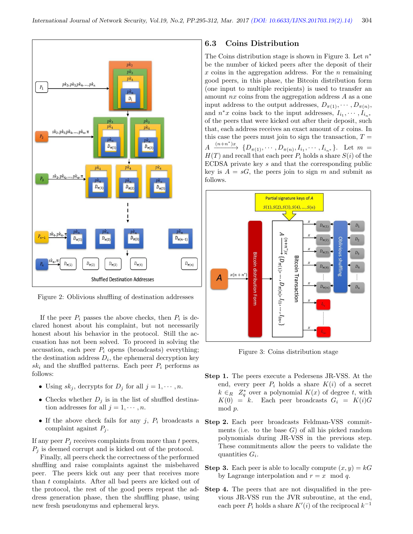

Figure 2: Oblivious shuffling of destination addresses

If the peer  $P_i$  passes the above checks, then  $P_i$  is declared honest about his complaint, but not necessarily honest about his behavior in the protocol. Still the accusation has not been solved. To proceed in solving the accusation, each peer  $P_i$  opens (broadcasts) everything; the destination address  $D_i$ , the ephemeral decryption key  $sk_i$  and the shuffled patterns. Each peer  $P_i$  performs as follows:

- Using  $sk_j$ , decrypts for  $D_j$  for all  $j = 1, \dots, n$ .
- Checks whether  $D_j$  is in the list of shuffled destination addresses for all  $j = 1, \dots, n$ .
- If the above check fails for any  $j$ ,  $P_i$  broadcasts a complaint against  $P_i$ .

If any peer  $P_i$  receives complaints from more than t peers,  $P_i$  is deemed corrupt and is kicked out of the protocol.

Finally, all peers check the correctness of the performed shuffling and raise complaints against the misbehaved peer. The peers kick out any peer that receives more than t complaints. After all bad peers are kicked out of the protocol, the rest of the good peers repeat the address generation phase, then the shuffling phase, using new fresh pseudonyms and ephemeral keys.

# 6.3 Coins Distribution

The Coins distribution stage is shown in Figure 3. Let  $n^*$ be the number of kicked peers after the deposit of their x coins in the aggregation address. For the  $n$  remaining good peers, in this phase, the Bitcoin distribution form (one input to multiple recipients) is used to transfer an amount nx coins from the aggregation address A as a one input address to the output addresses,  $D_{\pi(1)}, \cdots, D_{\pi(n)}$ , and  $n^*x$  coins back to the input addresses,  $I_{i_1}, \cdots, I_{i_n}$ of the peers that were kicked out after their deposit, such that, each address receives an exact amount of  $x$  coins. In this case the peers must join to sign the transaction,  $T =$  $A \xrightarrow{(n+n^*)x} \{D_{\pi(1)}, \cdots, D_{\pi(n)}, I_{i_1}, \cdots, I_{i_{n^*}}\}.$  Let  $m =$  $H(T)$  and recall that each peer  $P_i$  holds a share  $S(i)$  of the ECDSA private key s and that the corresponding public key is  $A = sG$ , the peers join to sign m and submit as follows.



Figure 3: Coins distribution stage

- Step 1. The peers execute a Pedersens JR-VSS. At the end, every peer  $P_i$  holds a share  $K(i)$  of a secret  $k \in_R Z_q^*$  over a polynomial  $K(x)$  of degree t, with  $K(0) = k$ . Each peer broadcasts  $G_i = K(i)G$ mod p.
- Step 2. Each peer broadcasts Feldman-VSS commitments (i.e. to the base  $G$ ) of all his picked random polynomials during JR-VSS in the previous step. These commitments allow the peers to validate the quantities  $G_i$ .
- **Step 3.** Each peer is able to locally compute  $(x, y) = kG$ by Lagrange interpolation and  $r = x \mod q$ .
- Step 4. The peers that are not disqualified in the previous JR-VSS run the JVR subroutine, at the end, each peer  $P_i$  holds a share  $K'(i)$  of the reciprocal  $k^{-1}$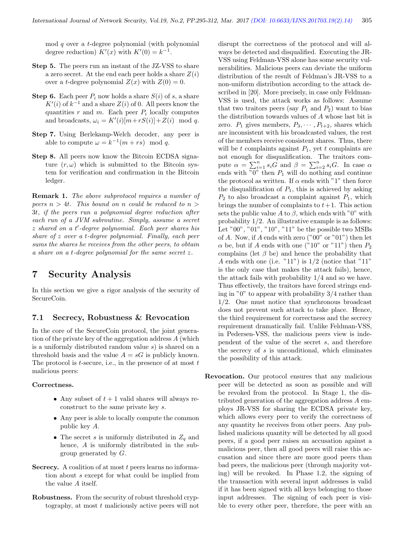$mod q$  over a *t*-degree polynomial (with polynomial degree reduction)  $K'(x)$  with  $K'(0) = k^{-1}$ .

- Step 5. The peers run an instant of the JZ-VSS to share a zero secret. At the end each peer holds a share  $Z(i)$ over a t-degree polynomial  $Z(x)$  with  $Z(0) = 0$ .
- **Step 6.** Each peer  $P_i$  now holds a share  $S(i)$  of s, a share  $K'(i)$  of  $k^{-1}$  and a share  $Z(i)$  of 0. All peers know the quantities  $r$  and  $m$ . Each peer  $P_i$  locally computes and broadcasts,  $\omega_i = K'(i)[m+rS(i)] + Z(i) \mod q$ .
- Step 7. Using Berlekamp-Welch decoder, any peer is able to compute  $\omega = k^{-1}(m + rs) \mod q$ .
- Step 8. All peers now know the Bitcoin ECDSA signature  $(r, \omega)$  which is submitted to the Bitcoin system for verification and confirmation in the Bitcoin ledger.

Remark 1. The above subprotocol requires a number of peers  $n > 4t$ . This bound on n could be reduced to  $n >$ 3t, if the peers run a polynomial degree reduction after each run of a JVM subroutine. Simply, assume a secret  $z$  shared on a  $t'$ -degree polynomial. Each peer shares his share of z over a t-degree polynomial. Finally, each peer sums the shares he receives from the other peers, to obtain a share on a t-degree polynomial for the same secret z.

# 7 Security Analysis

In this section we give a rigor analysis of the security of SecureCoin.

# 7.1 Secrecy, Robustness & Revocation

In the core of the SecureCoin protocol, the joint generation of the private key of the aggregation address A (which is a uniformly distributed random value s) is shared on a threshold basis and the value  $A = sG$  is publicly known. The protocol is  $t$ -secure, i.e., in the presence of at most  $t$ malicious peers:

#### Correctness.

- Any subset of  $t + 1$  valid shares will always reconstruct to the same private key s.
- Any peer is able to locally compute the common public key A.
- The secret s is uniformly distributed in  $Z_q$  and hence, A is uniformly distributed in the subgroup generated by G.
- Secrecy. A coalition of at most  $t$  peers learns no information about s except for what could be implied from the value A itself.
- Robustness. From the security of robust threshold cryptography, at most t maliciously active peers will not

disrupt the correctness of the protocol and will always be detected and disqualified. Executing the JR-VSS using Feldman-VSS alone has some security vulnerabilities. Malicious peers can deviate the uniform distribution of the result of Feldman's JR-VSS to a non-uniform distribution according to the attack described in [20]. More precisely, in case only Feldman-VSS is used, the attack works as follows: Assume that two traitors peers (say  $P_1$  and  $P_2$ ) want to bias the distribution towards values of A whose last bit is zero.  $P_1$  gives members,  $P_3, \cdots, P_{t+2}$ , shares which are inconsistent with his broadcasted values, the rest of the members receive consistent shares. Thus, there will be t complaints against  $P_1$ , yet t complaints are not enough for disqualification. The traitors compute  $\alpha = \sum_{i=1}^{n} s_i \overrightarrow{G}$  and  $\beta = \sum_{i=2}^{n} s_i \overrightarrow{G}$ . In case  $\alpha$ ends with " $0$ " then  $P_1$  will do nothing and continue the protocol as written. If  $\alpha$  ends with "1" then force the disqualification of  $P_1$ , this is achieved by asking  $P_2$  to also broadcast a complaint against  $P_1$ , which brings the number of complaints to  $t+1$ . This action sets the public value A to  $\beta$ , which ends with "0" with probability  $1/2$ . An illustrative example is as follows: Let "00", "01", "10", "11" be the possible two MSBs of A. Now, if A ends with zero  $("00"$  or  $"01"$ ) then let  $\alpha$  be, but if A ends with one ("10" or "11") then  $P_2$ complains (let  $\beta$  be) and hence the probability that A ends with one (i.e. "11") is  $1/2$  (notice that "11" is the only case that makes the attack fails), hence, the attack fails with probability 1/4 and so we have. Thus effectively, the traitors have forced strings ending in "0" to appear with probability  $3/4$  rather than 1/2. One must notice that synchronous broadcast does not prevent such attack to take place. Hence, the third requirement for correctness and the secrecy requirement dramatically fail. Unlike Feldman-VSS, in Pedersen-VSS, the malicious peers view is independent of the value of the secret s, and therefore the secrecy of s is unconditional, which eliminates the possibility of this attack.

Revocation. Our protocol ensures that any malicious peer will be detected as soon as possible and will be revoked from the protocol. In Stage 1, the distributed generation of the aggregation address A employs JR-VSS for sharing the ECDSA private key, which allows every peer to verify the correctness of any quantity he receives from other peers. Any published malicious quantity will be detected by all good peers, if a good peer raises an accusation against a malicious peer, then all good peers will raise this accusation and since there are more good peers than bad peers, the malicious peer (through majority voting) will be revoked. In Phase 1.2, the signing of the transaction with several input addresses is valid if it has been signed with all keys belonging to those input addresses. The signing of each peer is visible to every other peer, therefore, the peer with an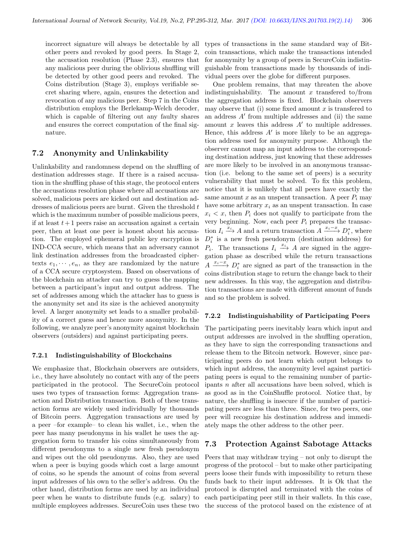incorrect signature will always be detectable by all other peers and revoked by good peers. In Stage 2, the accusation resolution (Phase 2.3), ensures that any malicious peer during the oblivious shuffling will be detected by other good peers and revoked. The Coins distribution (Stage 3), employs verifiable secret sharing where, again, ensures the detection and revocation of any malicious peer. Step 7 in the Coins distribution employs the Berlekamp-Welch decoder, which is capable of filtering out any faulty shares and ensures the correct computation of the final signature.

## 7.2 Anonymity and Unlinkability

Unlinkability and randomness depend on the shuffling of destination addresses stage. If there is a raised accusation in the shuffling phase of this stage, the protocol enters the accusations resolution phase where all accusations are solved, malicious peers are kicked out and destination addresses of malicious peers are burnt. Given the threshold  $t$ which is the maximum number of possible malicious peers, if at least  $t+1$  peers raise an accusation against a certain peer, then at least one peer is honest about his accusation. The employed ephemeral public key encryption is IND-CCA secure, which means that an adversary cannot link destination addresses from the broadcasted ciphertexts  $e_1, \dots, e_n$ , as they are randomized by the nature of a CCA secure cryptosystem. Based on observations of the blockchain an attacker can try to guess the mapping between a participant's input and output address. The set of addresses among which the attacker has to guess is the anonymity set and its size is the achieved anonymity level. A larger anonymity set leads to a smaller probability of a correct guess and hence more anonymity. In the following, we analyze peer's anonymity against blockchain observers (outsiders) and against participating peers.

#### 7.2.1 Indistinguishability of Blockchains

We emphasize that, Blockchain observers are outsiders, i.e., they have absolutely no contact with any of the peers participated in the protocol. The SecureCoin protocol uses two types of transaction forms: Aggregation transaction and Distribution transaction. Both of these transaction forms are widely used individually by thousands of Bitcoin peers. Aggregation transactions are used by a peer –for example– to clean his wallet, i.e., when the peer has many pseudonyms in his wallet he uses the aggregation form to transfer his coins simultaneously from different pseudonyms to a single new fresh pseudonym and wipes out the old pseudonyms. Also, they are used when a peer is buying goods which cost a large amount of coins, so he spends the amount of coins from several input addresses of his own to the seller's address. On the other hand, distribution forms are used by an individual peer when he wants to distribute funds (e.g. salary) to multiple employees addresses. SecureCoin uses these two

types of transactions in the same standard way of Bitcoin transactions, which make the transactions intended for anonymity by a group of peers in SecureCoin indistinguishable from transactions made by thousands of individual peers over the globe for different purposes.

One problem remains, that may threaten the above indistinguishability. The amount  $x$  transferred to/from the aggregation address is fixed. Blockchain observers may observe that (i) some fixed amount  $x$  is transferred to an address  $A'$  from multiple addresses and (ii) the same amount  $x$  leaves this address  $A'$  to multiple addresses. Hence, this address  $A'$  is more likely to be an aggregation address used for anonymity purpose. Although the observer cannot map an input address to the corresponding destination address, just knowing that these addresses are more likely to be involved in an anonymous transaction (i.e. belong to the same set of peers) is a security vulnerability that must be solved. To fix this problem, notice that it is unlikely that all peers have exactly the same amount x as an unspent transaction. A peer  $P_i$  may have some arbitrary  $x_i$  as an unspent transaction. In case  $x_i < x$ , then  $P_i$  does not qualify to participate from the very beginning. Now, each peer  $P_i$  prepares the transaction  $I_i \xrightarrow{x_i} A$  and a return transaction  $A \xrightarrow{x_i-x} D_i^*$ , where  $D_i^*$  is a new fresh pseudonym (destination address) for  $P_i$ . The transactions  $I_i \stackrel{x_i}{\longrightarrow} A$  are signed in the aggregation phase as described while the return transactions  $A \xrightarrow{x_i-x} D_i^*$  are signed as part of the transaction in the coins distribution stage to return the change back to their new addresses. In this way, the aggregation and distribution transactions are made with different amount of funds and so the problem is solved.

#### 7.2.2 Indistinguishability of Participating Peers

The participating peers inevitably learn which input and output addresses are involved in the shuffling operation, as they have to sign the corresponding transactions and release them to the Bitcoin network. However, since participating peers do not learn which output belongs to which input address, the anonymity level against participating peers is equal to the remaining number of participants  $n$  after all accusations have been solved, which is as good as in the CoinShuffle protocol. Notice that, by nature, the shuffling is insecure if the number of participating peers are less than three. Since, for two peers, one peer will recognize his destination address and immediately maps the other address to the other peer.

## 7.3 Protection Against Sabotage Attacks

Peers that may withdraw trying – not only to disrupt the progress of the protocol – but to make other participating peers loose their funds with impossibility to return these funds back to their input addresses. It is Ok that the protocol is disrupted and terminated with the coins of each participating peer still in their wallets. In this case, the success of the protocol based on the existence of at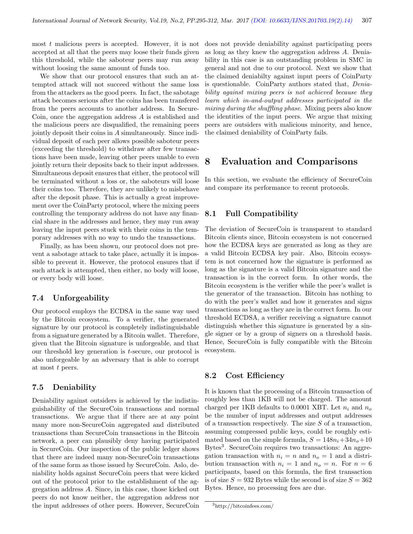most  $t$  malicious peers is accepted. However, it is not accepted at all that the peers may loose their funds given this threshold, while the saboteur peers may run away without loosing the same amount of funds too.

We show that our protocol ensures that such an attempted attack will not succeed without the same loss from the attackers as the good peers. In fact, the sabotage attack becomes serious after the coins has been transfered from the peers accounts to another address. In Secure-Coin, once the aggregation address A is established and the malicious peers are disqualified, the remaining peers jointly deposit their coins in A simultaneously. Since individual deposit of each peer allows possible saboteur peers (exceeding the threshold) to withdraw after few transactions have been made, leaving other peers unable to even jointly return their deposits back to their input addresses. Simultaneous deposit ensures that either, the protocol will be terminated without a loss or, the saboteurs will loose their coins too. Therefore, they are unlikely to misbehave after the deposit phase. This is actually a great improvement over the CoinParty protocol, where the mixing peers controlling the temporary address do not have any financial share in the addresses and hence, they may run away leaving the input peers stuck with their coins in the temporary addresses with no way to undo the transactions.

Finally, as has been shown, our protocol does not prevent a sabotage attack to take place, actually it is impossible to prevent it. However, the protocol ensures that if such attack is attempted, then either, no body will loose, or every body will loose.

## 7.4 Unforgeability

Our protocol employs the ECDSA in the same way used by the Bitcoin ecosystem. To a verifier, the generated signature by our protocol is completely indistinguishable from a signature generated by a Bitcoin wallet. Therefore, given that the Bitcoin signature is unforgeable, and that our threshold key generation is t-secure, our protocol is also unforgeable by an adversary that is able to corrupt at most t peers.

## 7.5 Deniability

Deniability against outsiders is achieved by the indistinguishability of the SecureCoin transactions and normal transactions. We argue that if there are at any point many more non-SecureCoin aggregated and distributed transactions than SecureCoin transactions in the Bitcoin network, a peer can plausibly deny having participated in SecureCoin. Our inspection of the public ledger shows that there are indeed many non-SecureCoin transactions of the same form as those issued by SecureCoin. Aslo, deniability holds against SecureCoin peers that were kicked out of the protocol prior to the establishment of the aggregation address A. Since, in this case, those kicked out peers do not know neither, the aggregation address nor the input addresses of other peers. However, SecureCoin does not provide deniability against participating peers as long as they knew the aggregation address A. Deniability in this case is an outstanding problem in SMC in general and not due to our protocol. Next we show that the claimed deniabilty against input peers of CoinParty is questionable. CoinParty authors stated that, Deniability against mixing peers is not achieved because they learn which in-and-output addresses participated in the mixing during the shuffling phase. Mixing peers also know the identities of the input peers. We argue that mixing peers are outsiders with malicious minority, and hence, the claimed deniability of CoinParty fails.

# 8 Evaluation and Comparisons

In this section, we evaluate the efficiency of SecureCoin and compare its performance to recent protocols.

# 8.1 Full Compatibility

The deviation of SecureCoin is transparent to standard Bitcoin clients since, Bitcoin ecosystem is not concerned how the ECDSA keys are generated as long as they are a valid Bitcoin ECDSA key pair. Also, Bitcoin ecosystem is not concerned how the signature is performed as long as the signature is a valid Bitcoin signature and the transaction is in the correct form. In other words, the Bitcoin ecosystem is the verifier while the peer's wallet is the generator of the transaction. Bitcoin has nothing to do with the peer's wallet and how it generates and signs transactions as long as they are in the correct form. In our threshold ECDSA, a verifier receiving a signature cannot distinguish whether this signature is generated by a single signer or by a group of signers on a threshold basis. Hence, SecureCoin is fully compatible with the Bitcoin ecosystem.

#### 8.2 Cost Efficiency

It is known that the processing of a Bitcoin transaction of roughly less than 1KB will not be charged. The amount charged per 1KB defaults to 0.0001 XBT. Let  $n_i$  and  $n_o$ be the number of input addresses and output addresses of a transaction respectively. The size  $S$  of a transaction, assuming compressed public keys, could be roughly estimated based on the simple formula,  $S = 148n_i+34n_o+10$ Bytes<sup>3</sup>. SecureCoin requires two transactions: An aggregation transaction with  $n_i = n$  and  $n_o = 1$  and a distribution transaction with  $n_i = 1$  and  $n_o = n$ . For  $n = 6$ participants, based on this formula, the first transaction is of size  $S = 932$  Bytes while the second is of size  $S = 362$ Bytes. Hence, no processing fees are due.

<sup>3</sup>http://bitcoinfees.com/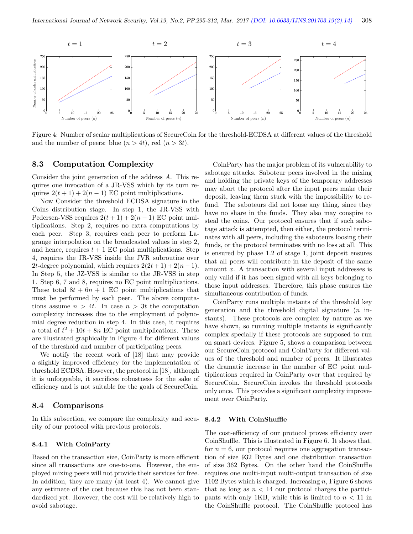

Figure 4: Number of scalar multiplications of SecureCoin for the threshold-ECDSA at different values of the threshold and the number of peers: blue  $(n > 4t)$ , red  $(n > 3t)$ .

## 8.3 Computation Complexity

Consider the joint generation of the address A. This requires one invocation of a JR-VSS which by its turn requires  $2(t + 1) + 2(n - 1)$  EC point multiplications.

Now Consider the threshold ECDSA signature in the Coins distribution stage. In step 1, the JR-VSS with Pedersen-VSS requires  $2(t + 1) + 2(n - 1)$  EC point multiplications. Step 2, requires no extra computations by each peer. Step 3, requires each peer to perform Lagrange interpolation on the broadcasted values in step 2, and hence, requires  $t + 1$  EC point multiplications. Step 4, requires the JR-VSS inside the JVR subroutine over 2t-degree polynomial, which requires  $2(2t+1) + 2(n-1)$ . In Step 5, the JZ-VSS is similar to the JR-VSS in step 1. Step 6, 7 and 8, requires no EC point multiplications. These total  $8t + 6n + 1$  EC point multiplications that must be performed by each peer. The above computations assume  $n > 4t$ . In case  $n > 3t$  the computation complexity increases due to the employment of polynomial degree reduction in step 4. In this case, it requires a total of  $t^2 + 10t + 8n$  EC point multiplications. These are illustrated graphically in Figure 4 for different values of the threshold and number of participating peers.

We notify the recent work of [18] that may provide a slightly improved efficiency for the implementation of threshold ECDSA. However, the protocol in [18], although it is unforgeable, it sacrifices robustness for the sake of efficiency and is not suitable for the goals of SecureCoin.

#### 8.4 Comparisons

In this subsection, we compare the complexity and security of our protocol with previous protocols.

#### 8.4.1 With CoinParty

Based on the transaction size, CoinParty is more efficient since all transactions are one-to-one. However, the employed mixing peers will not provide their services for free. In addition, they are many (at least 4). We cannot give any estimate of the cost because this has not been standardized yet. However, the cost will be relatively high to avoid sabotage.

CoinParty has the major problem of its vulnerability to sabotage attacks. Saboteur peers involved in the mixing and holding the private keys of the temporary addresses may abort the protocol after the input peers make their deposit, leaving them stuck with the impossibility to refund. The saboteurs did not loose any thing, since they have no share in the funds. They also may conspire to steal the coins. Our protocol ensures that if such sabotage attack is attempted, then either, the protocol terminates with all peers, including the saboteurs loosing their funds, or the protocol terminates with no loss at all. This is ensured by phase 1.2 of stage 1, joint deposit ensures that all peers will contribute in the deposit of the same amount  $x$ . A transaction with several input addresses is only valid if it has been signed with all keys belonging to those input addresses. Therefore, this phase ensures the simultaneous contribution of funds.

CoinParty runs multiple instants of the threshold key generation and the threshold digital signature  $(n \text{ in-}$ stants). These protocols are complex by nature as we have shown, so running multiple instants is significantly complex specially if these protocols are supposed to run on smart devices. Figure 5, shows a comparison between our SecureCoin protocol and CoinParty for different values of the threshold and number of peers. It illustrates the dramatic increase in the number of EC point multiplications required in CoinParty over that required by SecureCoin. SecureCoin invokes the threshold protocols only once. This provides a significant complexity improvement over CoinParty.

#### 8.4.2 With CoinShuffle

The cost-efficiency of our protocol proves efficiency over CoinShuffle. This is illustrated in Figure 6. It shows that, for  $n = 6$ , our protocol requires one aggregation transaction of size 932 Bytes and one distribution transaction of size 362 Bytes. On the other hand the CoinShuffle requires one multi-input multi-output transaction of size 1102 Bytes which is charged. Increasing  $n$ , Figure 6 shows that as long as  $n < 14$  our protocol charges the participants with only 1KB, while this is limited to  $n < 11$  in the CoinShuffle protocol. The CoinShuffle protocol has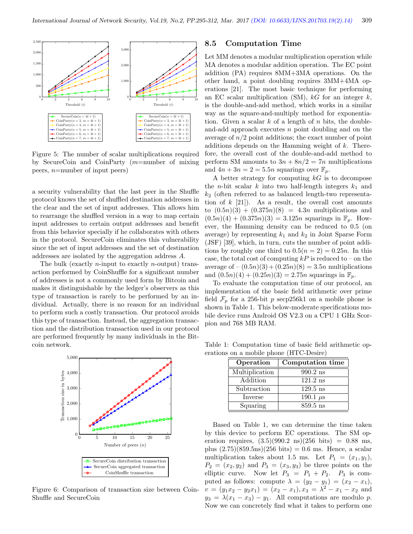

Figure 5: The number of scalar multiplications required by SecureCoin and CoinParty (m=number of mixing peers, n=number of input peers)

a security vulnerability that the last peer in the Shuffle protocol knows the set of shuffled destination addresses in the clear and the set of input addresses. This allows him to rearrange the shuffled version in a way to map certain input addresses to certain output addresses and benefit from this behavior specially if he collaborates with others in the protocol. SecureCoin eliminates this vulnerability since the set of input addresses and the set of destination addresses are isolated by the aggregation address A.

The bulk (exactly *n*-input to exactly *n*-output) transaction performed by CoinShuffle for a significant number of addresses is not a commonly used form by Bitcoin and makes it distinguishable by the ledger's observers as this type of transaction is rarely to be performed by an individual. Actually, there is no reason for an individual to perform such a costly transaction. Our protocol avoids this type of transaction. Instead, the aggregation transaction and the distribution transaction used in our protocol are performed frequently by many individuals in the Bitcoin network.



Figure 6: Comparison of transaction size between Coin-Shuffle and SecureCoin

## 8.5 Computation Time

Let MM denotes a modular multiplication operation while MA denotes a modular addition operation. The EC point addition (PA) requires 8MM+3MA operations. On the other hand, a point doubling requires 3MM+4MA operations [21]. The most basic technique for performing an EC scalar multiplication  $(SM)$ , kG for an integer k, is the double-and-add method, which works in a similar way as the square-and-multiply method for exponentiation. Given a scalar  $k$  of a length of  $n$  bits, the doubleand-add approach executes  $n$  point doubling and on the average of  $n/2$  point additions; the exact number of point additions depends on the Hamming weight of k. Therefore, the overall cost of the double-and-add method to perform SM amounts to  $3n + 8n/2 = 7n$  multiplications and  $4n + 3n = 2 = 5.5n$  squarings over  $\mathbb{F}_p$ .

A better strategy for computing  $kG$  is to decompose the *n*-bit scalar k into two half-length integers  $k_1$  and  $k_2$  (often referred to as balanced length-two representation of  $k$  [21]). As a result, the overall cost amounts to  $(0.5n)(3) + (0.375n)(8) = 4.3n$  multiplications and  $(0.5n)(4) + (0.375n)(3) = 3.125n$  squarings in  $\mathbb{F}_p$ . However, the Hamming density can be reduced to 0.5 (on average) by representing  $k_1$  and  $k_2$  in Joint Sparse Form (JSF) [39], which, in turn, cuts the number of point additions by roughly one third to  $0.5(n = 2) = 0.25n$ . In this case, the total cost of computing  $kP$  is reduced to – on the average of  $-(0.5n)(3) + (0.25n)(8) = 3.5n$  multiplications and  $(0.5n)(4) + (0.25n)(3) = 2.75n$  squarings in  $\mathbb{F}_p$ .

To evaluate the computation time of our protocol, an implementation of the basic field arithmetic over prime field  $\mathcal{F}_p$  for a 256-bit p secp256k1 on a mobile phone is shown in Table 1. This below-moderate specifications mobile device runs Android OS V2.3 on a CPU 1 GHz Scorpion and 768 MB RAM.

Table 1: Computation time of basic field arithmetic operations on a mobile phone (HTC-Desire)

| Operation      | Computation time |
|----------------|------------------|
| Multiplication | $990.2$ ns       |
| Addition       | $121.2$ ns       |
| Subtraction    | $129.5$ ns       |
| Inverse        | 190.1 $\mu$ s    |
| Squaring       | $859.5$ ns       |

Based on Table 1, we can determine the time taken by this device to perform EC operations. The SM operation requires,  $(3.5)(990.2 \text{ ns})(256 \text{ bits}) = 0.88 \text{ ms}$ , plus  $(2.75)(859.5ns)(256 bits) = 0.6 ms$ . Hence, a scalar multiplication takes about 1.5 ms. Let  $P_1 = (x_1, y_1)$ ,  $P_2 = (x_2, y_2)$  and  $P_3 = (x_3, y_3)$  be three points on the elliptic curve. Now let  $P_3 = P_1 + P_2$ .  $P_3$  is computed as follows: compute  $\lambda = (y_2 - y_1) = (x_2 - x_1)$ ,  $v = (y_1x_2 - y_2x_1) = (x_2 - x_1), x_3 = \lambda^2 - x_1 - x_2$  and  $y_3 = \lambda(x_1 - x_3) - y_1$ . All computations are modulo p. Now we can concretely find what it takes to perform one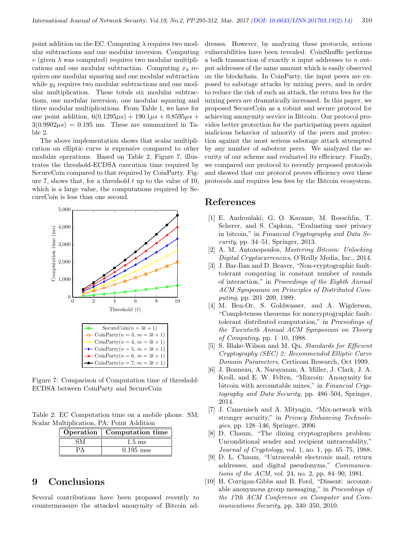point addition on the EC. Computing  $\lambda$  requires two modular subtractions and one modular inversion. Computing  $v$  (given  $\lambda$  was computed) requires two modular multiplications and one modular subtraction. Computing  $x_3$  requires one modular squaring and one modular subtraction while  $y_3$  requires two modular subtractions and one modular multiplication. These totals six modular subtractions, one modular inversion, one modular squaring and three modular multiplications. From Table 1, we have for one point addition,  $6(0.1295\mu s) + 190.1\mu s + 0.8595\mu s +$  $3(0.9902\mu s) = 0.195$  ms. These are summarized in Table 2.

The above implementation shows that scalar multiplication on elliptic curve is expensive compared to other modular operations. Based on Table 2, Figure 7, illustrates the threshold-ECDSA execution time required by SecureCoin compared to that required by CoinParty. Figure 7, shows that, for a threshold  $t$  up to the value of 10, which is a large value, the computations required by SecureCoin is less than one second.



Figure 7: Comparison of Computation time of threshold-ECDSA between CoinParty and SecureCoin

Table 2: EC Computation time on a mobile phone. SM: Scalar Multiplication, PA: Point Addition

| Operation   Computation time |
|------------------------------|
| $1.5 \text{ ms}$             |
| $0.195$ mss                  |

# 9 Conclusions

Several contributions have been proposed recently to countermeasure the attacked anonymity of Bitcoin addresses. However, by analyzing these protocols, serious vulnerabilities have been revealed. CoinShuffle performs a bulk transaction of exactly n input addresses to n output addresses of the same amount which is easily observed on the blockchain. In CoinParty, the input peers are exposed to sabotage attacks by mixing peers, and in order to reduce the risk of such an attack, the return fees for the mixing peers are dramatically increased. In this paper, we proposed SecureCoin as a robust and secure protocol for achieving anonymity service in Bitcoin. Our protocol provides better protection for the participating peers against malicious behavior of minority of the peers and protection against the most serious sabotage attack attempted by any number of saboteur peers. We analyzed the security of our scheme and evaluated its efficiency. Finally, we compared our protocol to recently proposed protocols and showed that our protocol proves efficiency over these protocols and requires less fees by the Bitcoin ecosystem.

# References

- [1] E. Androulaki, G. O. Karame, M. Roeschlin, T. Scherer, and S. Capkun, "Evaluating user privacy in bitcoin," in Financial Cryptography and Data Se $curity$ , pp. 34–51, Springer, 2013.
- [2] A. M. Antonopoulos, Mastering Bitcoin: Unlocking Digital Cryptocurrencies, O'Reilly Media, Inc., 2014.
- [3] J. Bar-Ilan and D. Beaver, "Non-cryptographic faulttolerant computing in constant number of rounds of interaction," in Proceedings of the Eighth Annual ACM Symposium on Principles of Distributed Computing, pp. 201–209, 1989.
- [4] M. Ben-Or, S. Goldwasser, and A. Wigderson, "Completeness theorems for noncryptographic faulttolerant distributed computation," in Proceedings of the Twentieth Annual ACM Symposium on Theory of Computing, pp. 1–10, 1988.
- [5] S. Blake-Wilson and M. Qu, Standards for Efficient Cryptography (SEC) 2: Recommended Elliptic Curve Domain Parameters, Certicom Research, Oct 1999.
- [6] J. Bonneau, A. Narayanan, A. Miller, J. Clark, J. A. Kroll, and E. W. Felten, "Mixcoin: Anonymity for bitcoin with accountable mixes," in Financial Cryptography and Data Security, pp. 486–504, Springer, 2014.
- [7] J. Camenisch and A. Mityagin, "Mix-network with stronger security," in *Privacy Enhancing Technolo*gies, pp. 128–146, Springer, 2006.
- [8] D. Chaum, "The dining cryptographers problem: Unconditional sender and recipient untraceability," Journal of Cryptology, vol. 1, no. 1, pp. 65–75, 1988.
- [9] D. L. Chaum, "Untraceable electronic mail, return addresses, and digital pseudonyms," Communications of the ACM, vol. 24, no. 2, pp. 84–90, 1981.
- [10] H. Corrigan-Gibbs and B. Ford, "Dissent: accountable anonymous group messaging," in Proceedings of the 17th ACM Conference on Computer and Communications Security, pp. 340–350, 2010.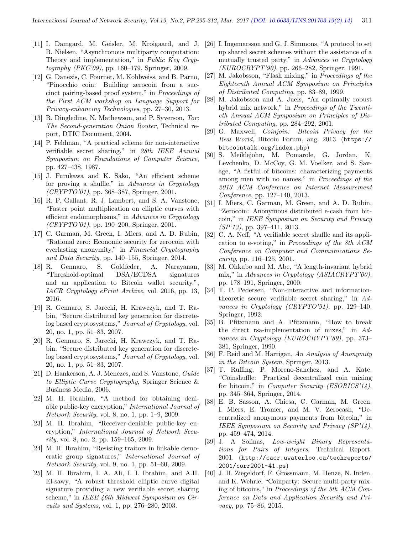- [11] I. Damgard, M. Geisler, M. Kroigaard, and J. B. Nielsen, "Asynchronous multiparty computation: Theory and implementation," in Public Key Cryptography (PKC'09), pp. 160–179, Springer, 2009.
- [12] G. Danezis, C. Fournet, M. Kohlweiss, and B. Parno, "Pinocchio coin: Building zerocoin from a succinct pairing-based proof system," in Proceedings of the First ACM workshop on Language Support for Privacy-enhancing Technologies, pp. 27–30, 2013.
- [13] R. Dingledine, N. Mathewson, and P. Syverson, Tor: The Second-generation Onion Router, Technical report, DTIC Document, 2004.
- [14] P. Feldman, "A practical scheme for non-interactive verifiable secret sharing," in 28th IEEE Annual Symposium on Foundations of Computer Science, pp. 427–438, 1987.
- [15] J. Furukawa and K. Sako, "An efficient scheme for proving a shuffle," in Advances in Cryptology (CRYPTO'01), pp. 368–387, Springer, 2001.
- [16] R. P. Gallant, R. J. Lambert, and S. A. Vanstone, "Faster point multiplication on elliptic curves with efficient endomorphisms," in Advances in Cryptology (CRYPTO'01), pp. 190–200, Springer, 2001.
- [17] C. Garman, M. Green, I. Miers, and A. D. Rubin, "Rational zero: Economic security for zerocoin with everlasting anonymity," in Financial Cryptography and Data Security, pp. 140–155, Springer, 2014.
- [18] R. Gennaro, S. Goldfeder, A. Narayanan, "Threshold-optimal DSA/ECDSA signatures and an application to Bitcoin wallet security,", IACR Cryptology ePrint Archive, vol. 2016, pp. 13, 2016.
- [19] R. Gennaro, S. Jarecki, H. Krawczyk, and T. Rabin, "Secure distributed key generation for discretelog based cryptosystems," Journal of Cryptology, vol. 20, no. 1, pp. 51–83, 2007.
- [20] R. Gennaro, S. Jarecki, H. Krawczyk, and T. Rabin, "Secure distributed key generation for discretelog based cryptosystems," Journal of Cryptology, vol. 20, no. 1, pp. 51–83, 2007.
- [21] D. Hankerson, A. J. Menezes, and S. Vanstone, Guide to Elliptic Curve Cryptography, Springer Science & Business Media, 2006.
- [22] M. H. Ibrahim, "A method for obtaining deniable public-key encryption," International Journal of Network Security, vol. 8, no. 1, pp. 1–9, 2009.
- [23] M. H. Ibrahim, "Receiver-deniable public-key encryption," International Journal of Network Security, vol. 8, no. 2, pp. 159–165, 2009.
- [24] M. H. Ibrahim, "Resisting traitors in linkable democratic group signatures," International Journal of Network Security, vol. 9, no. 1, pp. 51–60, 2009.
- [25] M. H. Ibrahim, I. A. Ali, I. I. Ibrahim, and A.H. El-sawy, "A robust threshold elliptic curve digital signature providing a new verifiable secret sharing scheme," in IEEE 46th Midwest Symposium on Circuits and Systems, vol. 1, pp. 276–280, 2003.
- [26] I. Ingemarsson and G. J. Simmons, "A protocol to set up shared secret schemes without the assistance of a mutually trusted party," in Advances in Cryptology (EUROCRYPT'90), pp. 266–282, Springer, 1991.
- [27] M. Jakobsson, "Flash mixing," in Proceedings of the Eighteenth Annual ACM Symposium on Principles of Distributed Computing, pp. 83–89, 1999.
- [28] M. Jakobsson and A. Juels, "An optimally robust hybrid mix network," in Proceedings of the Twentieth Annual ACM Symposium on Principles of Distributed Computing, pp. 284–292, 2001.
- [29] G. Maxwell, Coinjoin: Bitcoin Privacy for the Real World, Bitcoin Forum, aug. 2013. (https:// bitcointalk.org/index.php)
- [30] S. Meiklejohn, M. Pomarole, G. Jordan, K. Levchenko, D. McCoy, G. M. Voelker, and S. Savage, "A fistful of bitcoins: characterizing payments among men with no names," in Proceedings of the 2013 ACM Conference on Internet Measurement Conference, pp. 127–140, 2013.
- [31] I. Miers, C. Garman, M. Green, and A. D. Rubin, "Zerocoin: Anonymous distributed e-cash from bitcoin," in IEEE Symposium on Security and Privacy  $(SP'13)$ , pp. 397–411, 2013.
- [32] C. A. Neff, "A verifiable secret shuffle and its application to e-voting," in Proceedings of the 8th ACM Conference on Computer and Communications Security, pp. 116–125, 2001.
- [33] M. Ohkubo and M. Abe, "A length-invariant hybrid mix," in Advances in Cryptology (ASIACRYPT'00), pp. 178–191, Springer, 2000.
- [34] T. P. Pedersen, "Non-interactive and informationtheoretic secure verifiable secret sharing," in Advances in Cryptology (CRYPTO'91), pp. 129–140, Springer, 1992.
- [35] B. Pfitzmann and A. Pfitzmann, "How to break the direct rsa-implementation of mixes," in Advances in Cryptology (EUROCRYPT'89), pp. 373– 381, Springer, 1990.
- [36] F. Reid and M. Harrigan, An Analysis of Anonymity in the Bitcoin System, Springer, 2013.
- [37] T. Ruffing, P. Moreno-Sanchez, and A. Kate, "Coinshuffle: Practical decentralized coin mixing for bitcoin," in *Computer Security (ESORICS'14)*, pp. 345–364, Springer, 2014.
- [38] E. B. Sasson, A. Chiesa, C. Garman, M. Green, I. Miers, E. Tromer, and M. V. Zerocash, "Decentralized anonymous payments from bitcoin," in IEEE Symposium on Security and Privacy (SP'14), pp. 459–474, 2014.
- [39] J. A Solinas, Low-weight Binary Representations for Pairs of Integers, Technical Report, 2001. (http://cacr.uwaterloo.ca/techreports/ 2001/corr2001-41.ps)
- [40] J. H. Ziegeldorf, F. Grossmann, M. Henze, N. Inden, and K. Wehrle, "Coinparty: Secure multi-party mixing of bitcoins," in Proceedings of the 5th ACM Conference on Data and Application Security and Privacy, pp. 75–86, 2015.